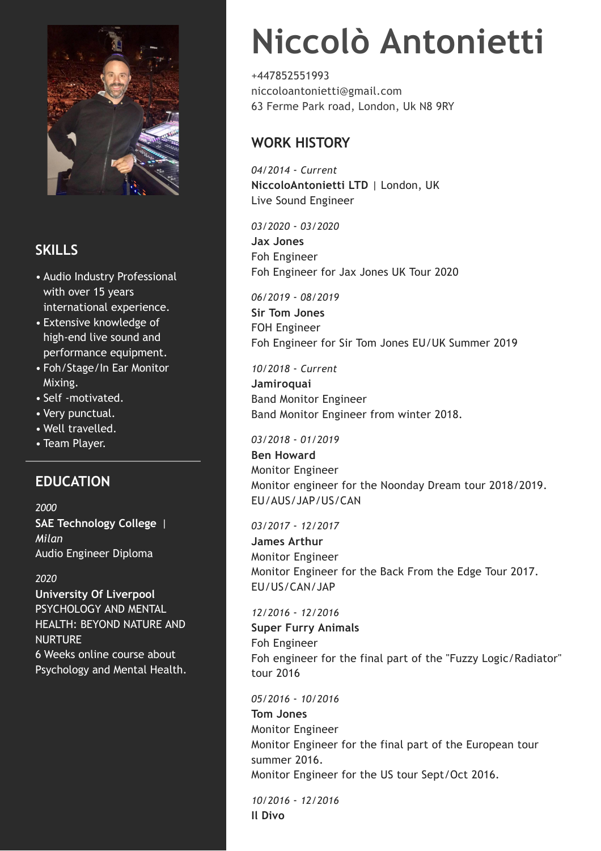

# **SKILLS**

- Audio Industry Professional with over 15 years international experience.
- Extensive knowledge of high-end live sound and performance equipment.
- Foh/Stage/In Ear Monitor Mixing.
- Self -motivated.
- Very punctual.
- Well travelled.
- Team Player.

# **EDUCATION**

*2000* **SAE Technology College** | *Milan* Audio Engineer Diploma

# *2020*

**University Of Liverpool** PSYCHOLOGY AND MENTAL HEALTH: BEYOND NATURE AND NURTURE 6 Weeks online course about Psychology and Mental Health.

# **Niccolò Antonietti**

+447852551993 niccoloantonietti@gmail.com 63 Ferme Park road, London, Uk N8 9RY

# **WORK HISTORY**

*04/2014* - *Current* **NiccoloAntonietti LTD** | London, UK Live Sound Engineer

*03/2020* - *03/2020* **Jax Jones** Foh Engineer Foh Engineer for Jax Jones UK Tour 2020

*06/2019* - *08/2019*

**Sir Tom Jones** FOH Engineer Foh Engineer for Sir Tom Jones EU/UK Summer 2019

# *10/2018* - *Current*

**Jamiroquai** Band Monitor Engineer Band Monitor Engineer from winter 2018.

# *03/2018* - *01/2019*

**Ben Howard** Monitor Engineer Monitor engineer for the Noonday Dream tour 2018/2019. EU/AUS/JAP/US/CAN

# *03/2017* - *12/2017*

**James Arthur** Monitor Engineer Monitor Engineer for the Back From the Edge Tour 2017. EU/US/CAN/JAP

# *12/2016* - *12/2016*

**Super Furry Animals** Foh Engineer Foh engineer for the final part of the "Fuzzy Logic/Radiator" tour 2016

# *05/2016* - *10/2016*

**Tom Jones** Monitor Engineer Monitor Engineer for the final part of the European tour summer 2016. Monitor Engineer for the US tour Sept/Oct 2016.

*10/2016* - *12/2016* **Il Divo**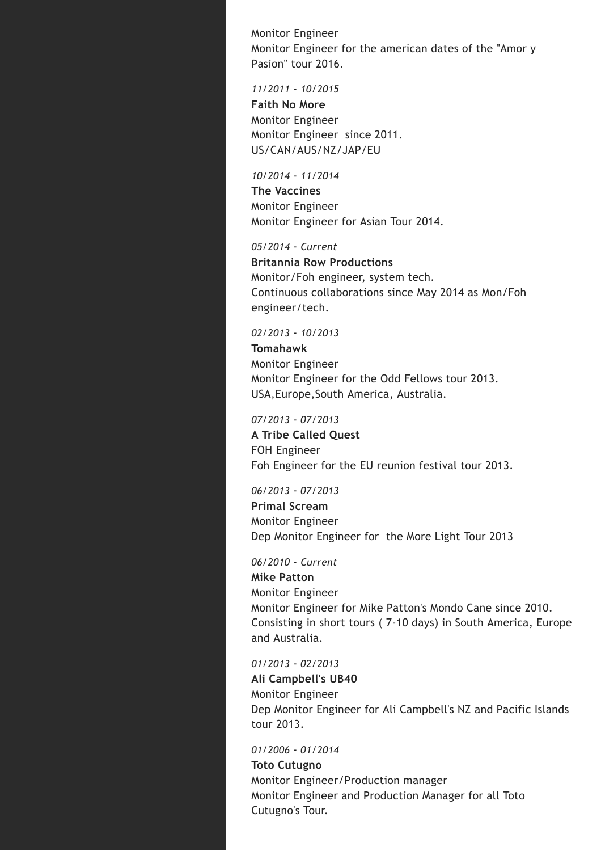Monitor Engineer Monitor Engineer for the american dates of the "Amor y Pasion" tour 2016.

### *11/2011* - *10/2015*

**Faith No More** Monitor Engineer Monitor Engineer since 2011. US/CAN/AUS/NZ/JAP/EU

#### *10/2014* - *11/2014*

**The Vaccines** Monitor Engineer Monitor Engineer for Asian Tour 2014.

#### *05/2014* - *Current*

**Britannia Row Productions** Monitor/Foh engineer, system tech. Continuous collaborations since May 2014 as Mon/Foh engineer/tech.

#### *02/2013* - *10/2013*

**Tomahawk** Monitor Engineer Monitor Engineer for the Odd Fellows tour 2013. USA,Europe,South America, Australia.

## *07/2013* - *07/2013*

**A Tribe Called Quest** FOH Engineer Foh Engineer for the EU reunion festival tour 2013.

### *06/2013* - *07/2013*

**Primal Scream** Monitor Engineer Dep Monitor Engineer for the More Light Tour 2013

#### *06/2010* - *Current*

**Mike Patton** Monitor Engineer Monitor Engineer for Mike Patton's Mondo Cane since 2010. Consisting in short tours ( 7-10 days) in South America, Europe and Australia.

#### *01/2013* - *02/2013*

**Ali Campbell's UB40** Monitor Engineer Dep Monitor Engineer for Ali Campbell's NZ and Pacific Islands tour 2013.

### *01/2006* - *01/2014*

**Toto Cutugno** Monitor Engineer/Production manager Monitor Engineer and Production Manager for all Toto Cutugno's Tour.